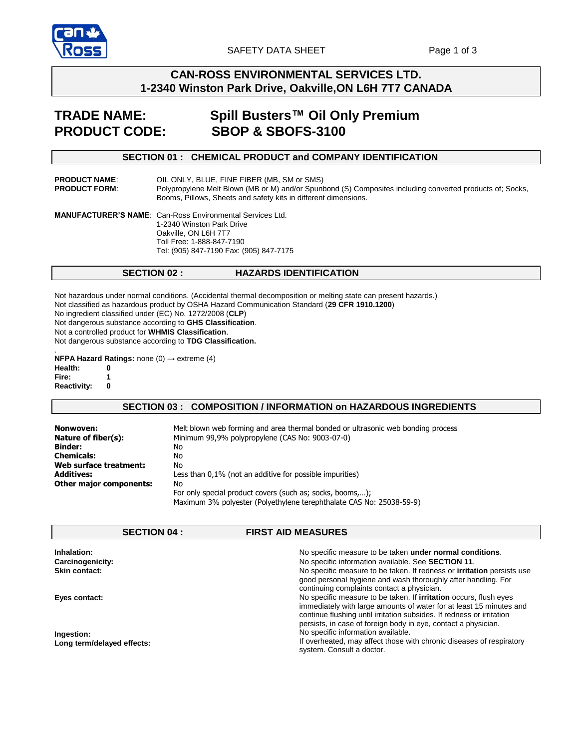

# **CAN-ROSS ENVIRONMENTAL SERVICES LTD. 1-2340 Winston Park Drive, Oakville,ON L6H 7T7 CANADA**

# **TRADE NAME: Spill Busters™ Oil Only Premium PRODUCT CODE: SBOP & SBOFS-3100**

# **SECTION 01 : CHEMICAL PRODUCT and COMPANY IDENTIFICATION**

.

**PRODUCT NAME:** OIL ONLY, BLUE, FINE FIBER (MB, SM or SMS)<br> **PRODUCT FORM:** Polypropylene Melt Blown (MB or M) and/or Spunk Polypropylene Melt Blown (MB or M) and/or Spunbond (S) Composites including converted products of; Socks, Booms, Pillows, Sheets and safety kits in different dimensions.

**MANUFACTURER'S NAME**: Can-Ross Environmental Services Ltd. 1-2340 Winston Park Drive Oakville, ON L6H 7T7 Toll Free: 1-888-847-7190 Tel: (905) 847-7190 Fax: (905) 847-7175

### SECTION 02 : **HAZARDS IDENTIFICATION**

Not hazardous under normal conditions. (Accidental thermal decomposition or melting state can present hazards.) Not classified as hazardous product by OSHA Hazard Communication Standard (**29 CFR 1910.1200**) No ingredient classified under (EC) No. 1272/2008 (**CLP**) Not dangerous substance according to **GHS Classification**. Not a controlled product for **WHMIS Classification**. Not dangerous substance according to **TDG Classification.** 

**SECTION 04 : FIRST AID MEASURES**

**NFPA Hazard Ratings:** none (0) → extreme (4) **Health: Fire: Reactivity: 0 1 0** 

# **SECTION 03 : COMPOSITION / INFORMATION on HAZARDOUS INGREDIENTS**

| Nonwoven:                      | Melt blown web forming and area thermal bonded or ultrasonic web bonding process |  |
|--------------------------------|----------------------------------------------------------------------------------|--|
| Nature of fiber(s):            | Minimum 99,9% polypropylene (CAS No: 9003-07-0)                                  |  |
| <b>Binder:</b>                 | No                                                                               |  |
| <b>Chemicals:</b>              | No                                                                               |  |
| Web surface treatment:         | No                                                                               |  |
| <b>Additives:</b>              | Less than 0,1% (not an additive for possible impurities)                         |  |
| <b>Other major components:</b> | No                                                                               |  |
|                                | For only special product covers (such as; socks, booms,);                        |  |
|                                | Maximum 3% polyester (Polyethylene terephthalate CAS No: 25038-59-9)             |  |

| Inhalation:                              | No specific measure to be taken under normal conditions.                                                                                                                                                                                                                                   |
|------------------------------------------|--------------------------------------------------------------------------------------------------------------------------------------------------------------------------------------------------------------------------------------------------------------------------------------------|
| Carcinogenicity:                         | No specific information available. See <b>SECTION 11.</b>                                                                                                                                                                                                                                  |
| Skin contact:                            | No specific measure to be taken. If redness or <b>irritation</b> persists use<br>good personal hygiene and wash thoroughly after handling. For                                                                                                                                             |
|                                          | continuing complaints contact a physician.                                                                                                                                                                                                                                                 |
| Eyes contact:                            | No specific measure to be taken. If <b>irritation</b> occurs, flush eyes<br>immediately with large amounts of water for at least 15 minutes and<br>continue flushing until irritation subsides. If redness or irritation<br>persists, in case of foreign body in eye, contact a physician. |
| Ingestion:<br>Long term/delayed effects: | No specific information available.<br>If overheated, may affect those with chronic diseases of respiratory<br>system. Consult a doctor.                                                                                                                                                    |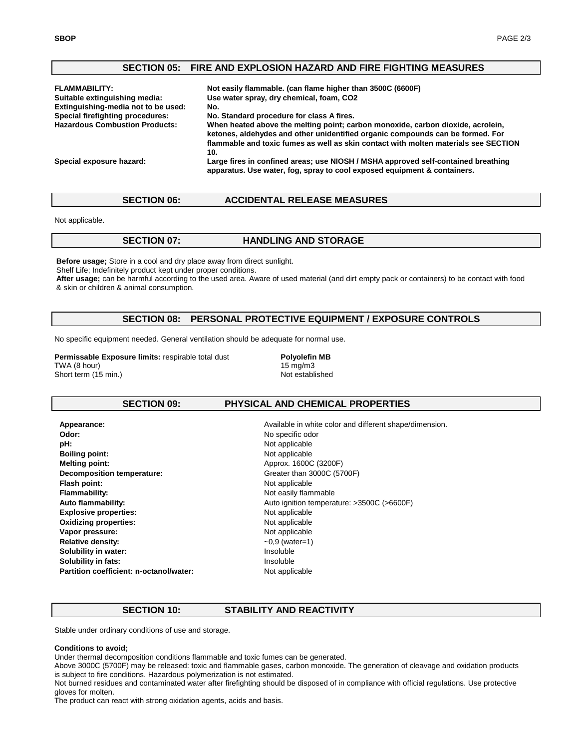### **SECTION 05: FIRE AND EXPLOSION HAZARD AND FIRE FIGHTING MEASURES**

| <b>FLAMMABILITY:</b><br>Suitable extinguishing media:<br>Extinguishing-media not to be used:<br>Special firefighting procedures:<br><b>Hazardous Combustion Products:</b> | Not easily flammable. (can flame higher than 3500C (6600F)<br>Use water spray, dry chemical, foam, CO2<br>No.<br>No. Standard procedure for class A fires.<br>When heated above the melting point; carbon monoxide, carbon dioxide, acrolein,<br>ketones, aldehydes and other unidentified organic compounds can be formed. For<br>flammable and toxic fumes as well as skin contact with molten materials see SECTION |
|---------------------------------------------------------------------------------------------------------------------------------------------------------------------------|------------------------------------------------------------------------------------------------------------------------------------------------------------------------------------------------------------------------------------------------------------------------------------------------------------------------------------------------------------------------------------------------------------------------|
| Special exposure hazard:                                                                                                                                                  | 10.<br>Large fires in confined areas; use NIOSH / MSHA approved self-contained breathing<br>apparatus. Use water, fog, spray to cool exposed equipment & containers.                                                                                                                                                                                                                                                   |

### **SECTION 06: ACCIDENTAL RELEASE MEASURES**

Not applicable.

#### **SECTION 07: HANDLING AND STORAGE**

**Before usage;** Store in a cool and dry place away from direct sunlight.

Shelf Life; Indefinitely product kept under proper conditions.

**After usage;** can be harmful according to the used area. Aware of used material (and dirt empty pack or containers) to be contact with food & skin or children & animal consumption.

#### **SECTION 08: PERSONAL PROTECTIVE EQUIPMENT / EXPOSURE CONTROLS**

No specific equipment needed. General ventilation should be adequate for normal use.

**Permissable Exposure limits:** respirable total dust TWA (8 hour) Short term (15 min.)

**Polyolefin MB**  15 mg/m3 Not established

#### **SECTION 09: PHYSICAL AND CHEMICAL PROPERTIES**

**Appearance: Odor: pH: Boiling point: Melting point: Decomposition temperature: Flash point: Flammability: Auto flammability: Explosive properties: Oxidizing properties: Vapor pressure: Relative density: Solubility in water: Solubility in fats: Partition coefficient: n-octanol/water:**  Available in white color and different shape/dimension. No specific odor Not applicable Not applicable Approx. 1600C (3200F) Greater than 3000C (5700F) Not applicable Not easily flammable Auto ignition temperature: >3500C (>6600F) Not applicable Not applicable Not applicable  $-0,9$  (water=1) Insoluble Insoluble Not applicable

### **SECTION 10: STABILITY AND REACTIVITY**

Stable under ordinary conditions of use and storage.

#### **Conditions to avoid;**

Under thermal decomposition conditions flammable and toxic fumes can be generated.

Above 3000C (5700F) may be released: toxic and flammable gases, carbon monoxide. The generation of cleavage and oxidation products is subject to fire conditions. Hazardous polymerization is not estimated.

Not burned residues and contaminated water after firefighting should be disposed of in compliance with official regulations. Use protective gloves for molten.

The product can react with strong oxidation agents, acids and basis.